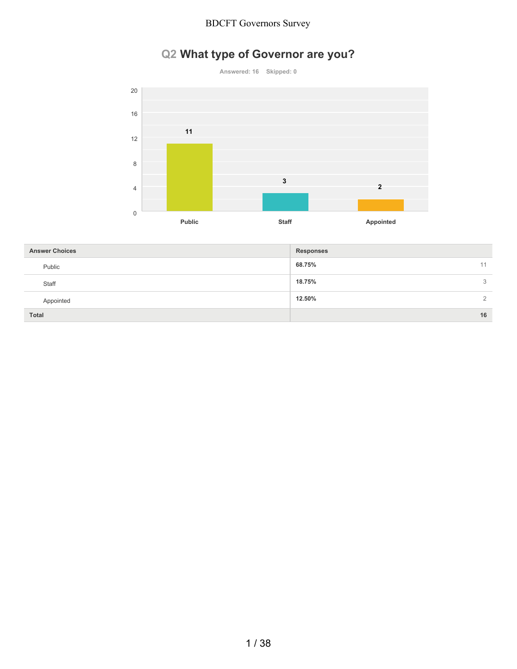# **Q2 What type of Governor are you?**





| <b>Answer Choices</b> | <b>Responses</b>         |
|-----------------------|--------------------------|
| Public                | 68.75%<br>11             |
| Staff                 | 18.75%<br>3              |
| Appointed             | 12.50%<br>$\overline{2}$ |
| <b>Total</b>          | 16                       |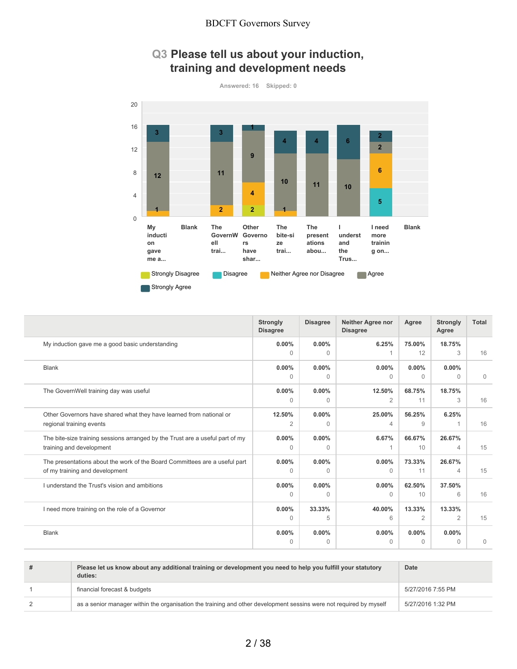### **Q3 Please tell us about your induction, training and development needs**



|                                                                               | <b>Strongly</b><br><b>Disagree</b> | <b>Disagree</b> | Neither Agree nor<br><b>Disagree</b> | Agree    | <b>Strongly</b><br>Agree | <b>Total</b> |
|-------------------------------------------------------------------------------|------------------------------------|-----------------|--------------------------------------|----------|--------------------------|--------------|
| My induction gave me a good basic understanding                               | $0.00\%$                           | $0.00\%$        | 6.25%                                | 75.00%   | 18.75%                   |              |
|                                                                               | $\Omega$                           | $\Omega$        |                                      | 12       | 3                        | 16           |
| <b>Blank</b>                                                                  | $0.00\%$                           | $0.00\%$        | $0.00\%$                             | $0.00\%$ | $0.00\%$                 |              |
|                                                                               | $\Omega$                           | $\Omega$        | $\bigcap$                            | $\Omega$ | $\Omega$                 | $\mathbf{0}$ |
| The GovernWell training day was useful                                        | $0.00\%$                           | 0.00%           | 12.50%                               | 68.75%   | 18.75%                   |              |
|                                                                               | $\Omega$                           | $\Omega$        | $\overline{2}$                       | 11       | 3                        | 16           |
| Other Governors have shared what they have learned from national or           | 12.50%                             | $0.00\%$        | 25.00%                               | 56.25%   | 6.25%                    |              |
| regional training events                                                      | 2                                  | $\Omega$        | 4                                    | 9        |                          | 16           |
| The bite-size training sessions arranged by the Trust are a useful part of my | $0.00\%$                           | $0.00\%$        | 6.67%                                | 66.67%   | 26.67%                   |              |
| training and development                                                      | $\Omega$                           | $\Omega$        |                                      | 10       | 4                        | 15           |
| The presentations about the work of the Board Committees are a useful part    | $0.00\%$                           | $0.00\%$        | 0.00%                                | 73.33%   | 26.67%                   |              |
| of my training and development                                                | $\Omega$                           | $\Omega$        | $\Omega$                             | 11       | $\overline{4}$           | 15           |
| I understand the Trust's vision and ambitions                                 | $0.00\%$                           | $0.00\%$        | $0.00\%$                             | 62.50%   | 37.50%                   |              |
|                                                                               | $\Omega$                           | $\Omega$        | $\Omega$                             | 10       | 6                        | 16           |
| I need more training on the role of a Governor                                | $0.00\%$                           | 33.33%          | 40.00%                               | 13.33%   | 13.33%                   |              |
|                                                                               | $\Omega$                           | 5               | 6                                    | 2        | 2                        | 15           |
| <b>Blank</b>                                                                  | $0.00\%$                           | $0.00\%$        | 0.00%                                | $0.00\%$ | $0.00\%$                 |              |
|                                                                               | $\Omega$                           | $\mathbf{0}$    | $\Omega$                             | $\Omega$ | $\Omega$                 | $\mathbf 0$  |

| # | Please let us know about any additional training or development you need to help you fulfill your statutory<br>duties: | Date              |
|---|------------------------------------------------------------------------------------------------------------------------|-------------------|
|   | financial forecast & budgets                                                                                           | 5/27/2016 7:55 PM |
|   | as a senior manager within the organisation the training and other development sessins were not required by myself     | 5/27/2016 1:32 PM |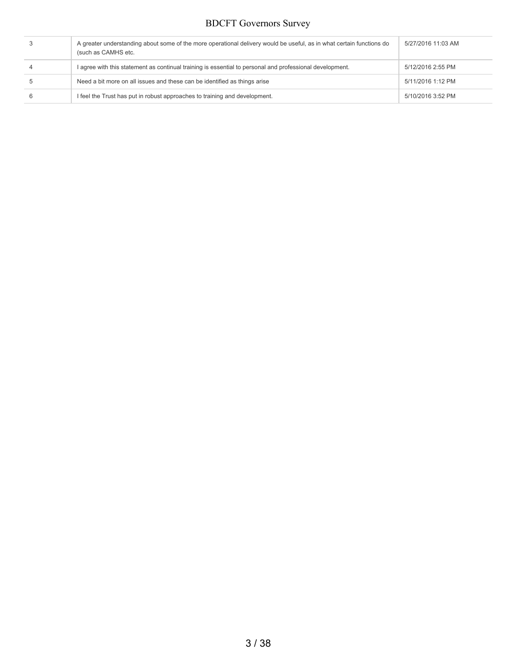| A greater understanding about some of the more operational delivery would be useful, as in what certain functions do<br>(such as CAMHS etc. | 5/27/2016 11:03 AM |
|---------------------------------------------------------------------------------------------------------------------------------------------|--------------------|
| I agree with this statement as continual training is essential to personal and professional development.                                    | 5/12/2016 2:55 PM  |
| Need a bit more on all issues and these can be identified as things arise                                                                   | 5/11/2016 1:12 PM  |
| I feel the Trust has put in robust approaches to training and development.                                                                  | 5/10/2016 3:52 PM  |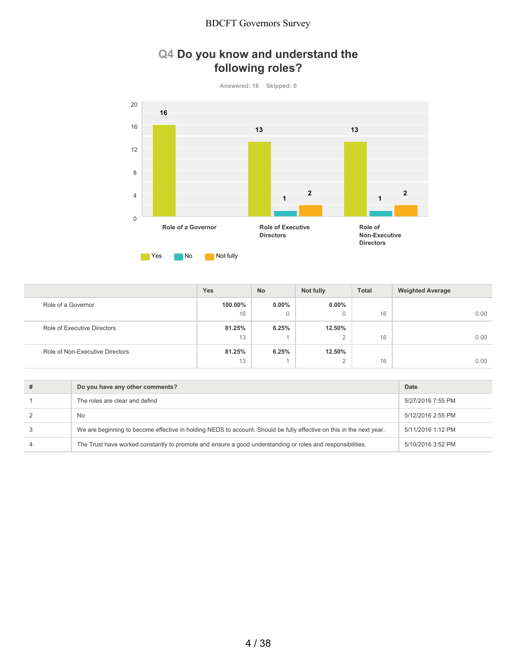## **Q4 Do you know and understand the following roles?**

**Answered: 16 Skipped: 0**



|                                 | <b>Yes</b> | No           | Not fully            | <b>Total</b> | <b>Weighted Average</b> |
|---------------------------------|------------|--------------|----------------------|--------------|-------------------------|
| Role of a Governor              | 100.00%    | $0.00\%$     | $0.00\%$             |              |                         |
|                                 | 16         | $\mathbf{0}$ | $\Omega$             | 16           | 0.00                    |
| Role of Executive Directors     | 81.25%     | 6.25%        | 12.50%               |              |                         |
|                                 | 13         |              | $\Omega$<br><u>_</u> | 16           | 0.00                    |
| Role of Non-Executive Directors | 81.25%     | 6.25%        | 12.50%               |              |                         |
|                                 | 13         |              | $\Omega$<br><u>_</u> | 16           | 0.00                    |

| Do you have any other comments?                                                                                      | Date              |
|----------------------------------------------------------------------------------------------------------------------|-------------------|
| The roles are clear and defind                                                                                       | 5/27/2016 7:55 PM |
| No                                                                                                                   | 5/12/2016 2:55 PM |
| We are beginning to become effective in holding NEDS to account. Should be fully effective on this in the next year. | 5/11/2016 1:12 PM |
| The Trust have worked constantly to promote and ensure a good understanding or roles and responsibilities.           | 5/10/2016 3:52 PM |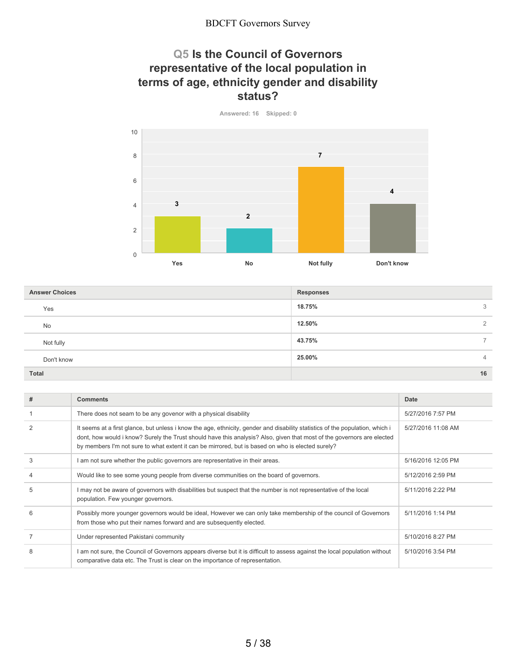### **Q5 Is the Council of Governors representative of the local population in terms of age, ethnicity gender and disability status?**

**Answered: 16 Skipped: 0 Yes No Not fully Don't know** 0 2 4 6 8 10 **3 2 7 4**

**18.75%** 3 **12.50%** 2 **43.75%** 7 **25.00%** 4 **Total 16 Answer Choices Responses** Yes No Not fully Don't know

| #             | <b>Comments</b>                                                                                                                                                                                                                                                                                                                                              | Date               |
|---------------|--------------------------------------------------------------------------------------------------------------------------------------------------------------------------------------------------------------------------------------------------------------------------------------------------------------------------------------------------------------|--------------------|
|               | There does not seam to be any govenor with a physical disability                                                                                                                                                                                                                                                                                             | 5/27/2016 7:57 PM  |
| $\mathcal{P}$ | It seems at a first glance, but unless i know the age, ethnicity, gender and disability statistics of the population, which i<br>dont, how would i know? Surely the Trust should have this analysis? Also, given that most of the governors are elected<br>by members I'm not sure to what extent it can be mirrored, but is based on who is elected surely? | 5/27/2016 11:08 AM |
| 3             | am not sure whether the public governors are representative in their areas.                                                                                                                                                                                                                                                                                  | 5/16/2016 12:05 PM |
|               | Would like to see some young people from diverse communities on the board of governors.                                                                                                                                                                                                                                                                      | 5/12/2016 2:59 PM  |
| 5             | I may not be aware of governors with disabilities but suspect that the number is not representative of the local<br>population. Few younger governors.                                                                                                                                                                                                       | 5/11/2016 2:22 PM  |
| 6             | Possibly more younger governors would be ideal, However we can only take membership of the council of Governors<br>from those who put their names forward and are subsequently elected.                                                                                                                                                                      | 5/11/2016 1:14 PM  |
|               | Under represented Pakistani community                                                                                                                                                                                                                                                                                                                        | 5/10/2016 8:27 PM  |
|               | am not sure, the Council of Governors appears diverse but it is difficult to assess against the local population without<br>comparative data etc. The Trust is clear on the importance of representation.                                                                                                                                                    | 5/10/2016 3:54 PM  |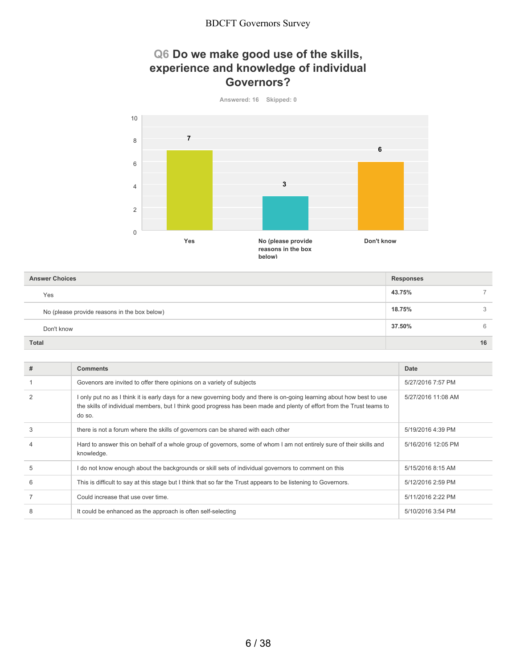## **Q6 Do we make good use of the skills, experience and knowledge of individual Governors?**



| <b>Answer Choices</b>                        | <b>Responses</b> |    |
|----------------------------------------------|------------------|----|
| Yes                                          | 43.75%           |    |
| No (please provide reasons in the box below) | 18.75%           | 3  |
| Don't know                                   | 37.50%           | 6  |
| <b>Total</b>                                 |                  | 16 |

| # | <b>Comments</b>                                                                                                                                                                                                                                             | Date               |
|---|-------------------------------------------------------------------------------------------------------------------------------------------------------------------------------------------------------------------------------------------------------------|--------------------|
|   | Govenors are invited to offer there opinions on a variety of subjects                                                                                                                                                                                       | 5/27/2016 7:57 PM  |
|   | I only put no as I think it is early days for a new governing body and there is on-going learning about how best to use<br>the skills of individual members, but I think good progress has been made and plenty of effort from the Trust teams to<br>do so. | 5/27/2016 11:08 AM |
| 3 | there is not a forum where the skills of governors can be shared with each other                                                                                                                                                                            | 5/19/2016 4:39 PM  |
|   | Hard to answer this on behalf of a whole group of governors, some of whom I am not entirely sure of their skills and<br>knowledge.                                                                                                                          | 5/16/2016 12:05 PM |
| 5 | l do not know enough about the backgrounds or skill sets of individual governors to comment on this                                                                                                                                                         | 5/15/2016 8:15 AM  |
| 6 | This is difficult to say at this stage but I think that so far the Trust appears to be listening to Governors.                                                                                                                                              | 5/12/2016 2:59 PM  |
|   | Could increase that use over time.                                                                                                                                                                                                                          | 5/11/2016 2:22 PM  |
| 8 | It could be enhanced as the approach is often self-selecting                                                                                                                                                                                                | 5/10/2016 3:54 PM  |
|   |                                                                                                                                                                                                                                                             |                    |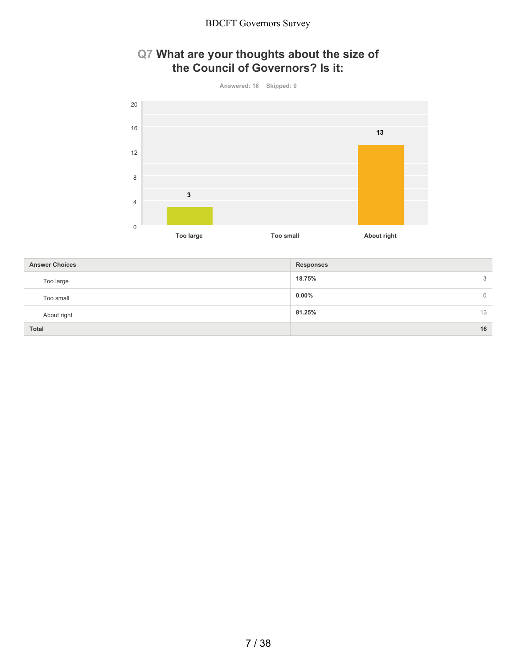### **Q7 What are your thoughts about the size of the Council of Governors? Is it:**





| <b>Answer Choices</b> | <b>Responses</b>     |
|-----------------------|----------------------|
| Too large             | 18.75%<br>3          |
| Too small             | $0.00\%$<br>$\Omega$ |
| About right           | 81.25%<br>13         |
| <b>Total</b>          | 16                   |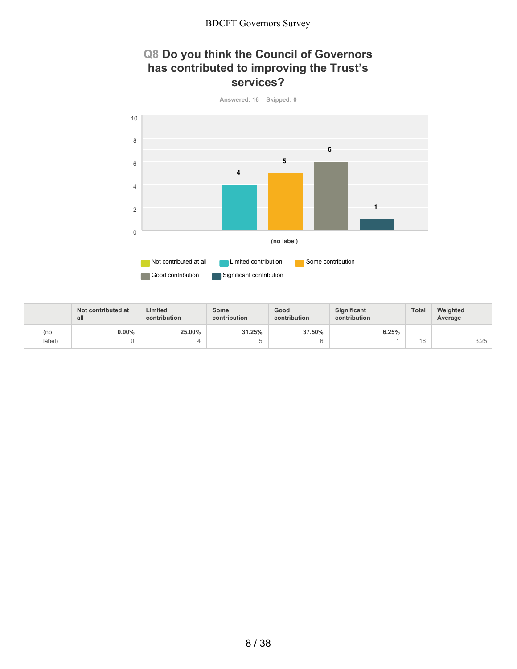### **Q8 Do you think the Council of Governors has contributed to improving the Trust's services?**



|        | Not contributed at<br>all | Limited<br>contribution | Some<br>contribution | Good<br>contribution | <b>Significant</b><br>contribution | Total | Weighted<br>Average |
|--------|---------------------------|-------------------------|----------------------|----------------------|------------------------------------|-------|---------------------|
| (no    | $0.00\%$                  | 25.00%                  | 31.25%               | 37.50%               | 6.25%                              |       |                     |
| label) |                           |                         |                      |                      |                                    | 16    | 3.25                |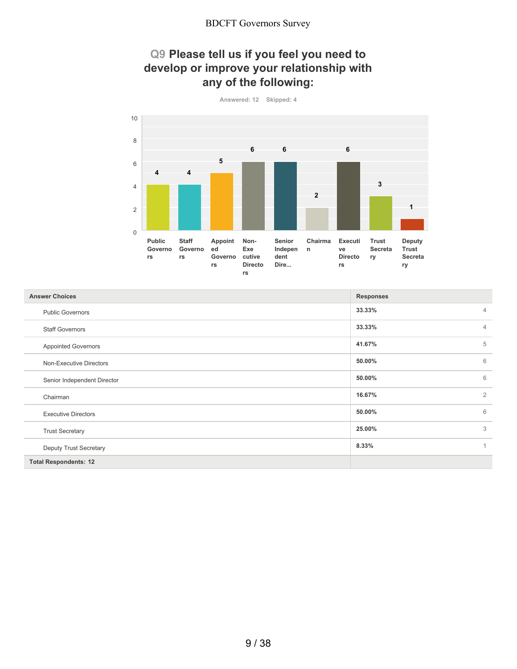### **Q9 Please tell us if you feel you need to develop or improve your relationship with any of the following:**



| <b>Answer Choices</b>         | <b>Responses</b> |                |
|-------------------------------|------------------|----------------|
| <b>Public Governors</b>       | 33.33%           | $\overline{4}$ |
| <b>Staff Governors</b>        | 33.33%           | $\overline{4}$ |
| <b>Appointed Governors</b>    | 41.67%           | 5              |
| Non-Executive Directors       | 50.00%           | 6              |
| Senior Independent Director   | 50.00%           | 6              |
| Chairman                      | 16.67%           | $\overline{2}$ |
| <b>Executive Directors</b>    | 50.00%           | 6              |
| <b>Trust Secretary</b>        | 25.00%           | 3              |
| <b>Deputy Trust Secretary</b> | 8.33%            | 1              |
| <b>Total Respondents: 12</b>  |                  |                |

9 / 38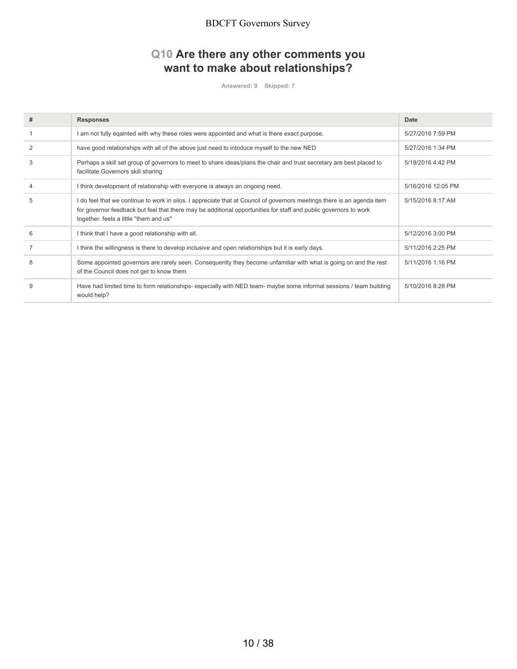## **Q10 Are there any other comments you want to make about relationships?**

**Answered: 9 Skipped: 7**

| # | <b>Responses</b>                                                                                                                                                                                                                                                                      | Date               |
|---|---------------------------------------------------------------------------------------------------------------------------------------------------------------------------------------------------------------------------------------------------------------------------------------|--------------------|
|   | am not fully eqainted with why these roles were appointed and what is there exact purpose.                                                                                                                                                                                            | 5/27/2016 7:59 PM  |
|   | have good relationships with all of the above just need to intoduce myself to the new NED                                                                                                                                                                                             | 5/27/2016 1:34 PM  |
| 3 | Perhaps a skill set group of governors to meet to share ideas/plans the chair and trust secretary are best placed to<br>facilitate Governors skill sharing                                                                                                                            | 5/19/2016 4:42 PM  |
|   | I think development of relationship with everyone is always an ongoing need.                                                                                                                                                                                                          | 5/16/2016 12:05 PM |
| 5 | I do feel that we continue to work in silos. I appreciate that at Council of governors meetings there is an agenda item<br>for governor feedback but feel that there may be additional opportunities for staff and public governors to work<br>together. feels a little "them and us" | 5/15/2016 8:17 AM  |
| 6 | think that I have a good relationship with all.                                                                                                                                                                                                                                       | 5/12/2016 3:00 PM  |
|   | I think the willingness is there to develop inclusive and open relationships but it is early days.                                                                                                                                                                                    | 5/11/2016 2:25 PM  |
| 8 | Some appointed governors are rarely seen. Consequently they become unfamiliar with what is going on and the rest<br>of the Council does not get to know them                                                                                                                          | 5/11/2016 1:16 PM  |
| 9 | Have had limited time to form relationships- especially with NED team- maybe some informal sessions / team building<br>would help?                                                                                                                                                    | 5/10/2016 8:28 PM  |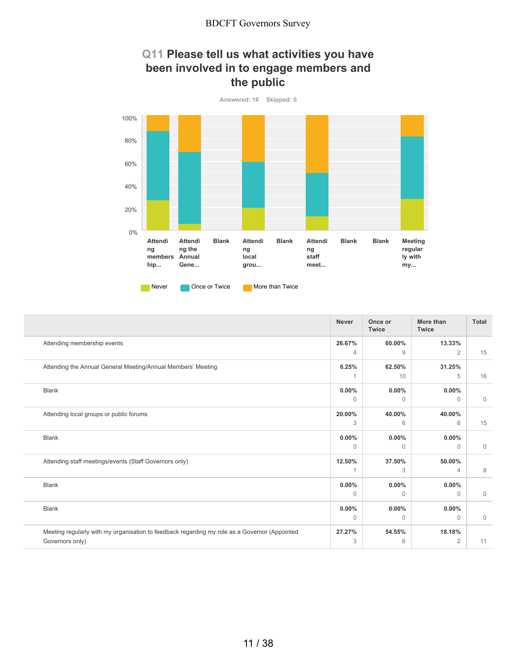### **Q11 Please tell us what activities you have been involved in to engage members and the public**



|                                                                                               | <b>Never</b> | Once or<br><b>Twice</b> | More than<br><b>Twice</b> | Total        |
|-----------------------------------------------------------------------------------------------|--------------|-------------------------|---------------------------|--------------|
| Attending membership events                                                                   | 26.67%       | 60.00%                  | 13.33%                    |              |
|                                                                                               | 4            | 9                       | 2                         | 15           |
| Attending the Annual General Meeting/Annual Members' Meeting                                  | 6.25%        | 62.50%                  | 31.25%                    |              |
|                                                                                               |              | 10                      | 5                         | 16           |
| <b>Blank</b>                                                                                  | $0.00\%$     | $0.00\%$                | $0.00\%$                  |              |
|                                                                                               | $\Omega$     | $\Omega$                | $\Omega$                  | $\mathbf{0}$ |
| Attending local groups or public forums                                                       | 20.00%       | 40.00%                  | 40.00%                    |              |
|                                                                                               | 3            | 6                       | 6                         | 15           |
| <b>Blank</b>                                                                                  | $0.00\%$     | 0.00%                   | $0.00\%$                  |              |
|                                                                                               | $\Omega$     | $\Omega$                | $\Omega$                  | $\mathbf{0}$ |
| Attending staff meetings/events (Staff Governors only)                                        | 12.50%       | 37.50%                  | 50.00%                    |              |
|                                                                                               |              | 3                       | $\overline{4}$            | 8            |
| <b>Blank</b>                                                                                  | $0.00\%$     | $0.00\%$                | $0.00\%$                  |              |
|                                                                                               | 0            | $\Omega$                | $\Omega$                  | $\mathbf 0$  |
| <b>Blank</b>                                                                                  | $0.00\%$     | $0.00\%$                | $0.00\%$                  |              |
|                                                                                               | 0            | $\Omega$                | $\Omega$                  | 0            |
| Meeting regularly with my organisation to feedback regarding my role as a Governor (Appointed | 27.27%       | 54.55%                  | 18.18%                    |              |
| Governors only)                                                                               | 3            | 6                       | $\overline{2}$            | 11           |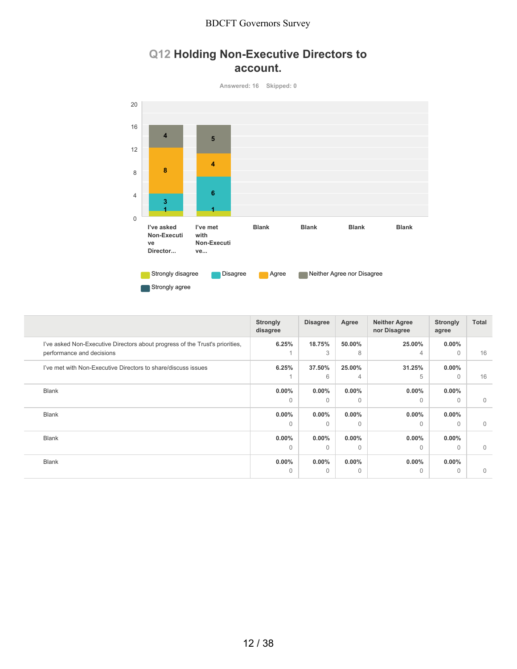## **Q12 Holding Non-Executive Directors to account.**

**Answered: 16 Skipped: 0**



Strongly agree

|                                                                                                           | <b>Strongly</b><br>disagree | <b>Disagree</b>      | Agree                | <b>Neither Agree</b><br>nor Disagree | <b>Strongly</b><br>agree | Total       |
|-----------------------------------------------------------------------------------------------------------|-----------------------------|----------------------|----------------------|--------------------------------------|--------------------------|-------------|
| I've asked Non-Executive Directors about progress of the Trust's priorities,<br>performance and decisions | 6.25%                       | 18.75%<br>3          | 50.00%<br>8          | 25.00%<br>4                          | $0.00\%$<br>$\Omega$     | 16          |
| I've met with Non-Executive Directors to share/discuss issues                                             | 6.25%                       | 37.50%<br>6          | 25.00%<br>4          | 31.25%<br>5                          | $0.00\%$<br>$\Omega$     | 16          |
| <b>Blank</b>                                                                                              | $0.00\%$<br>$\Omega$        | $0.00\%$<br>$\Omega$ | $0.00\%$<br>$\Omega$ | $0.00\%$<br>$\Omega$                 | $0.00\%$<br>$\Omega$     | $\mathbf 0$ |
| <b>Blank</b>                                                                                              | $0.00\%$<br>$\Omega$        | $0.00\%$<br>$\Omega$ | $0.00\%$<br>$\Omega$ | $0.00\%$<br>$\Omega$                 | $0.00\%$<br>$\Omega$     | $\mathbf 0$ |
| <b>Blank</b>                                                                                              | $0.00\%$<br>$\Omega$        | $0.00\%$<br>$\Omega$ | $0.00\%$<br>$\Omega$ | $0.00\%$<br>$\Omega$                 | $0.00\%$<br>$\Omega$     | $\Omega$    |
| <b>Blank</b>                                                                                              | $0.00\%$<br>$\Omega$        | $0.00\%$<br>$\Omega$ | $0.00\%$<br>$\Omega$ | $0.00\%$<br>$\Omega$                 | $0.00\%$<br>$\Omega$     | $\mathbf 0$ |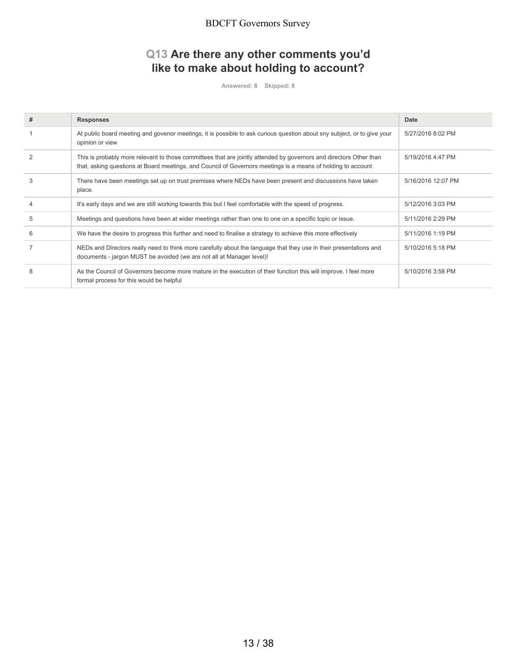## **Q13 Are there any other comments you'd like to make about holding to account?**

**Answered: 8 Skipped: 8**

| # | <b>Responses</b>                                                                                                                                                                                                                   | Date               |
|---|------------------------------------------------------------------------------------------------------------------------------------------------------------------------------------------------------------------------------------|--------------------|
|   | At public board meeting and govenor meetings, it is possible to ask curious question about sny subject, or to give your<br>opinion or view                                                                                         | 5/27/2016 8:02 PM  |
|   | This is probably more relevant to those committees that are jointly attended by governors and directors Other than<br>that, asking questions at Board meetings, and Council of Governors meetings is a means of holding to account | 5/19/2016 4:47 PM  |
| 3 | There have been meetings set up on trust premises where NEDs have been present and discussions have taken<br>place.                                                                                                                | 5/16/2016 12:07 PM |
|   | It's early days and we are still working towards this but I feel comfortable with the speed of progress.                                                                                                                           | 5/12/2016 3:03 PM  |
| 5 | Meetings and questions have been at wider meetings rather than one to one on a specific topic or issue.                                                                                                                            | 5/11/2016 2:29 PM  |
| 6 | We have the desire to progress this further and need to finalise a strategy to achieve this more effectively                                                                                                                       | 5/11/2016 1:19 PM  |
|   | NEDs and Directors really need to think more carefully about the language that they use in their presentations and<br>documents - jargon MUST be avoided (we are not all at Manager level)!                                        | 5/10/2016 5:18 PM  |
| 8 | As the Council of Governors become more mature in the execution of their function this will improve. I feel more<br>formal process for this would be helpful                                                                       | 5/10/2016 3:58 PM  |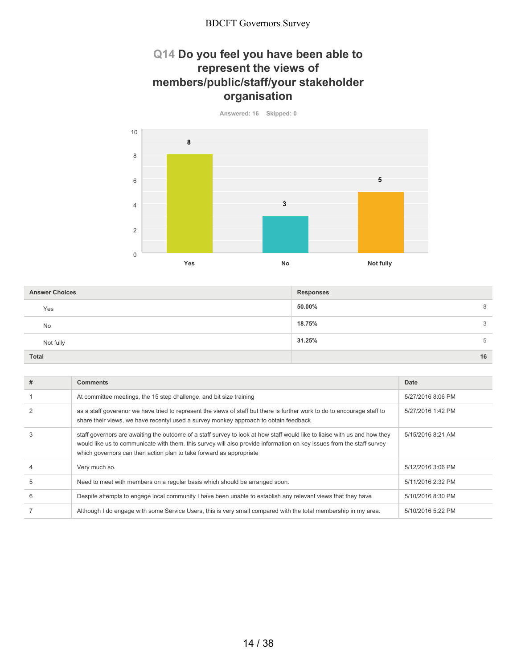### **Q14 Do you feel you have been able to represent the views of members/public/staff/your stakeholder organisation**

**Answered: 16 Skipped: 0**

**Yes No Not fully** 0 2 4 6 8 10 **8 3 5**

**50.00%** 8 **18.75%** 3 **31.25%** 5 **Total 16 Answer Choices Responses** Yes No Not fully

| # | <b>Comments</b>                                                                                                                                                                                                                                                                                                           | Date              |
|---|---------------------------------------------------------------------------------------------------------------------------------------------------------------------------------------------------------------------------------------------------------------------------------------------------------------------------|-------------------|
|   | At committee meetings, the 15 step challenge, and bit size training                                                                                                                                                                                                                                                       | 5/27/2016 8:06 PM |
|   | as a staff goverenor we have tried to represent the views of staff but there is further work to do to encourage staff to<br>share their views, we have recentyl used a survey monkey approach to obtain feedback                                                                                                          | 5/27/2016 1:42 PM |
|   | staff governors are awaiting the outcome of a staff survey to look at how staff would like to liaise with us and how they<br>would like us to communicate with them. this survey will also provide information on key issues from the staff survey<br>which governors can then action plan to take forward as appropriate | 5/15/2016 8:21 AM |
|   | Very much so.                                                                                                                                                                                                                                                                                                             | 5/12/2016 3:06 PM |
| 5 | Need to meet with members on a regular basis which should be arranged soon.                                                                                                                                                                                                                                               | 5/11/2016 2:32 PM |
| 6 | Despite attempts to engage local community I have been unable to establish any relevant views that they have                                                                                                                                                                                                              | 5/10/2016 8:30 PM |
|   | Although I do engage with some Service Users, this is very small compared with the total membership in my area.                                                                                                                                                                                                           | 5/10/2016 5:22 PM |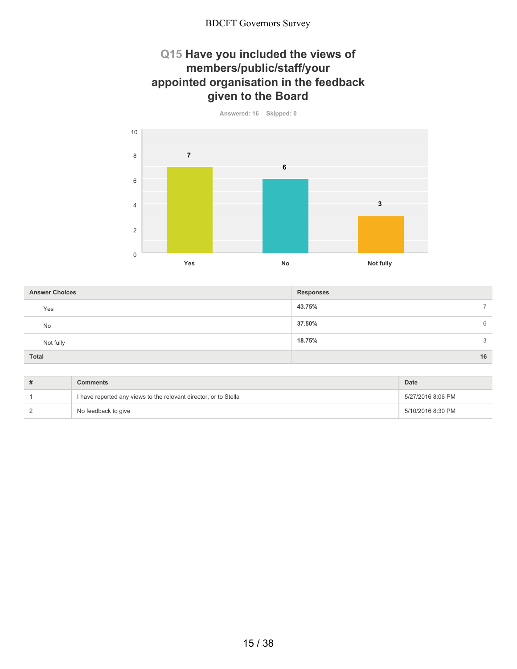### **Q15 Have you included the views of members/public/staff/your appointed organisation in the feedback given to the Board**

**Answered: 16 Skipped: 0**

**Yes No Not fully** 0 2 4 6 8 10 **7 6 3**

**43.75%** 7 **37.50%** 6 **18.75%** 3 **Total 16 Answer Choices Responses** Yes No Not fully

| Comments                                                         | Date              |
|------------------------------------------------------------------|-------------------|
| I have reported any views to the relevant director, or to Stella | 5/27/2016 8:06 PM |
| No feedback to give                                              | 5/10/2016 8:30 PM |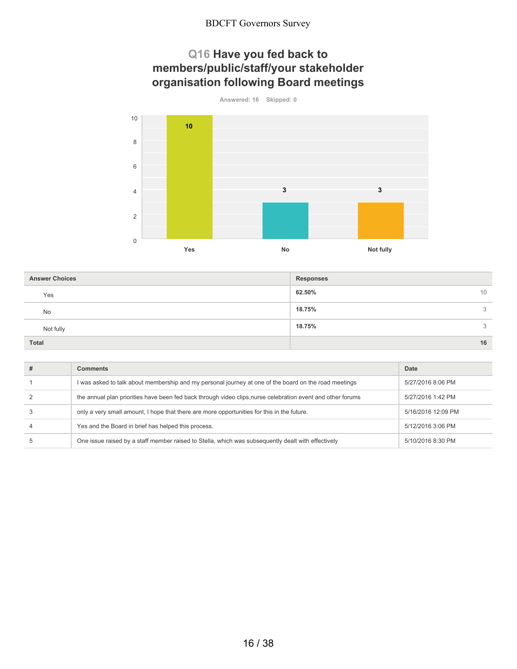## **Q16 Have you fed back to members/public/staff/your stakeholder organisation following Board meetings**





| <b>Answer Choices</b> | <b>Responses</b> |
|-----------------------|------------------|
| Yes                   | 62.50%<br>10     |
| No                    | 18.75%<br>3      |
| Not fully             | 18.75%<br>3      |
| <b>Total</b>          | 16               |

| # | Comments                                                                                                    | Date               |
|---|-------------------------------------------------------------------------------------------------------------|--------------------|
|   | I was asked to talk about membership and my personal journey at one of the board on the road meetings       | 5/27/2016 8:06 PM  |
|   | the annual plan priorities have been fed back through video clips, nurse celebration event and other forums | 5/27/2016 1:42 PM  |
|   | only a very small amount. I hope that there are more opportunities for this in the future.                  | 5/16/2016 12:09 PM |
|   | Yes and the Board in brief has helped this process.                                                         | 5/12/2016 3:06 PM  |
|   | One issue raised by a staff member raised to Stella, which was subsequently dealt with effectively          | 5/10/2016 8:30 PM  |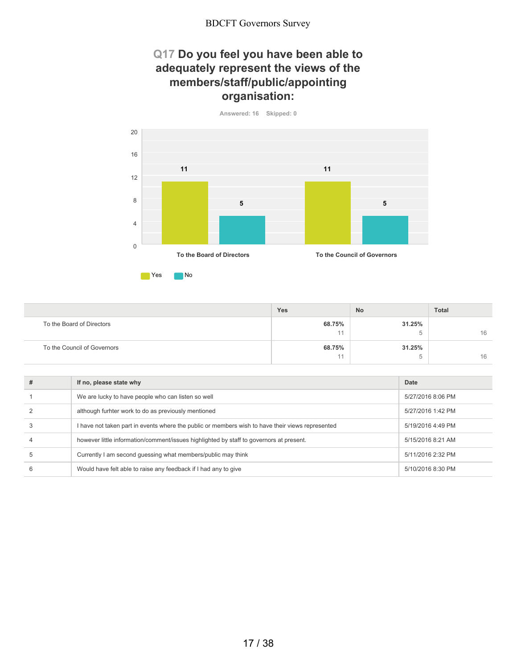### **Q17 Do you feel you have been able to adequately represent the views of the members/staff/public/appointing organisation:**





|                             | Yes    | No     | <b>Total</b> |
|-----------------------------|--------|--------|--------------|
| To the Board of Directors   | 68.75% | 31.25% |              |
|                             | 44     |        | 16           |
| To the Council of Governors | 68.75% | 31.25% |              |
|                             | 44     |        | 16           |

|   | If no, please state why                                                                          | Date              |
|---|--------------------------------------------------------------------------------------------------|-------------------|
|   | We are lucky to have people who can listen so well                                               | 5/27/2016 8:06 PM |
|   | although furhter work to do as previously mentioned                                              | 5/27/2016 1:42 PM |
|   | I have not taken part in events where the public or members wish to have their views represented | 5/19/2016 4:49 PM |
|   | however little information/comment/issues highlighted by staff to governors at present.          | 5/15/2016 8:21 AM |
| 5 | Currently I am second quessing what members/public may think                                     | 5/11/2016 2:32 PM |
| 6 | Would have felt able to raise any feedback if I had any to give                                  | 5/10/2016 8:30 PM |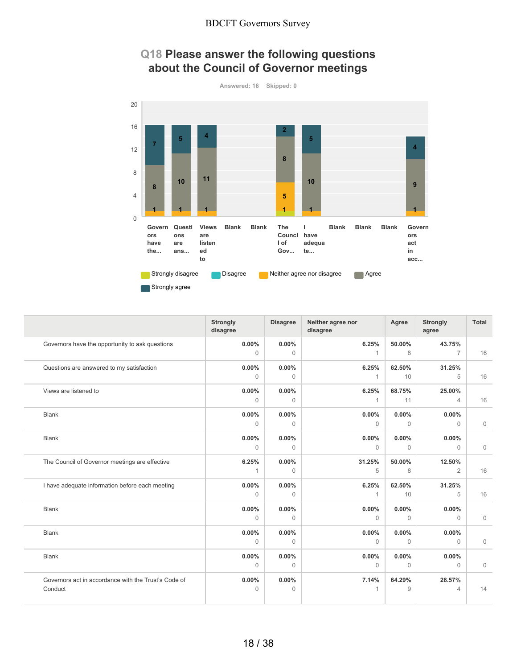### **Q18 Please answer the following questions about the Council of Governor meetings**



|                                                      | <b>Strongly</b><br>disagree | <b>Disagree</b>      | Neither agree nor<br>disagree | Agree        | <b>Strongly</b><br>agree | Total        |
|------------------------------------------------------|-----------------------------|----------------------|-------------------------------|--------------|--------------------------|--------------|
| Governors have the opportunity to ask questions      | 0.00%<br>$\Omega$           | $0.00\%$<br>$\Omega$ | 6.25%<br>1                    | 50.00%<br>8  | 43.75%<br>$\overline{7}$ | 16           |
|                                                      |                             |                      |                               |              |                          |              |
| Questions are answered to my satisfaction            | 0.00%                       | $0.00\%$             | 6.25%                         | 62.50%       | 31.25%                   |              |
|                                                      | $\Omega$                    | $\Omega$             | 1                             | 10           | 5                        | 16           |
| Views are listened to                                | 0.00%                       | 0.00%                | 6.25%                         | 68.75%       | 25.00%                   |              |
|                                                      | $\mathbf{0}$                | $\mathbf{0}$         | $\mathbf{1}$                  | 11           | $\overline{4}$           | 16           |
| <b>Blank</b>                                         | 0.00%                       | 0.00%                | 0.00%                         | $0.00\%$     | $0.00\%$                 |              |
|                                                      | $\mathbf{0}$                | $\mathbf{0}$         | $\Omega$                      | $\mathbf{0}$ | $\mathbf 0$              | $\mathbf 0$  |
| <b>Blank</b>                                         | 0.00%                       | $0.00\%$             | $0.00\%$                      | $0.00\%$     | $0.00\%$                 |              |
|                                                      | $\mathbf{0}$                | $\mathbf{0}$         | $\Omega$                      | $\mathbf{0}$ | $\mathbf 0$              | $\mathbf 0$  |
| The Council of Governor meetings are effective       | 6.25%                       | 0.00%                | 31.25%                        | 50.00%       | 12.50%                   |              |
|                                                      | 1                           | $\mathbf{0}$         | 5                             | 8            | 2                        | 16           |
| I have adequate information before each meeting      | 0.00%                       | $0.00\%$             | 6.25%                         | 62.50%       | 31.25%                   |              |
|                                                      | $\mathbf{0}$                | $\mathbf{0}$         | 1                             | 10           | 5                        | 16           |
| <b>Blank</b>                                         | 0.00%                       | $0.00\%$             | 0.00%                         | $0.00\%$     | $0.00\%$                 |              |
|                                                      | $\Omega$                    | $\Omega$             | $\Omega$                      | $\Omega$     | $\Omega$                 | $\mathbf 0$  |
| <b>Blank</b>                                         | 0.00%                       | $0.00\%$             | 0.00%                         | $0.00\%$     | $0.00\%$                 |              |
|                                                      | $\Omega$                    | $\Omega$             | $\Omega$                      | $\Omega$     | $\Omega$                 | $\mathbf 0$  |
| <b>Blank</b>                                         | 0.00%                       | $0.00\%$             | 0.00%                         | $0.00\%$     | $0.00\%$                 |              |
|                                                      | $\mathbf{0}$                | $\mathbf{0}$         | $\mathbf{0}$                  | $\mathbf{0}$ | $\mathbf{0}$             | $\mathbf{0}$ |
| Governors act in accordance with the Trust's Code of | 0.00%                       | $0.00\%$             | 7.14%                         | 64.29%       | 28.57%                   |              |
| Conduct                                              | $\Omega$                    | $\Omega$             | 1                             | 9            | $\overline{4}$           | 14           |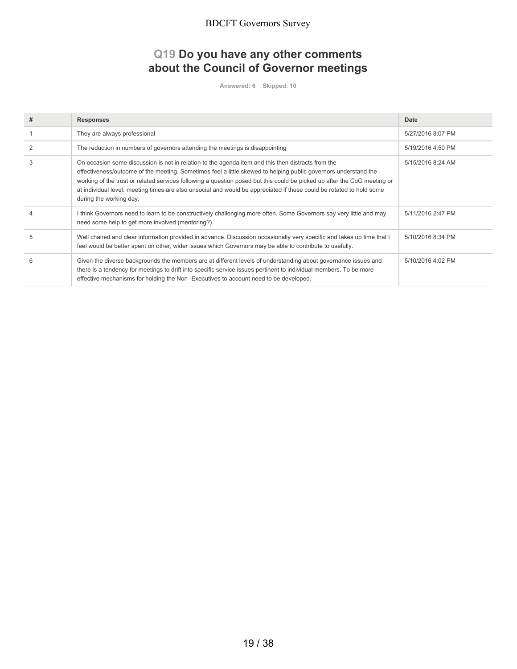## **Q19 Do you have any other comments about the Council of Governor meetings**

**Answered: 6 Skipped: 10**

| # | <b>Responses</b>                                                                                                                                                                                                                                                                                                                                                                                                                                                                                     | Date              |
|---|------------------------------------------------------------------------------------------------------------------------------------------------------------------------------------------------------------------------------------------------------------------------------------------------------------------------------------------------------------------------------------------------------------------------------------------------------------------------------------------------------|-------------------|
|   | They are always professional                                                                                                                                                                                                                                                                                                                                                                                                                                                                         | 5/27/2016 8:07 PM |
| 2 | The reduction in numbers of governors attending the meetings is disappointing                                                                                                                                                                                                                                                                                                                                                                                                                        | 5/19/2016 4:50 PM |
| 3 | On occasion some discussion is not in relation to the agenda item and this then distracts from the<br>effectiveness/outcome of the meeting. Sometimes feel a little skewed to helping public governors understand the<br>working of the trust or related services following a question posed but this could be picked up after the CoG meeting or<br>at individual level. meeting times are also unsocial and would be appreciated if these could be rotated to hold some<br>during the working day. | 5/15/2016 8:24 AM |
|   | I think Governors need to learn to be constructively challenging more often. Some Governors say very little and may<br>need some help to get more involved (mentoring?).                                                                                                                                                                                                                                                                                                                             | 5/11/2016 2:47 PM |
|   | Well chaired and clear information provided in advance. Discussion occasionally very specific and takes up time that I<br>feel would be better spent on other, wider issues which Governors may be able to contribute to usefully.                                                                                                                                                                                                                                                                   | 5/10/2016 8:34 PM |
| 6 | Given the diverse backgrounds the members are at different levels of understanding about governance issues and<br>there is a tendency for meetings to drift into specific service issues pertinent to individual members. To be more<br>effective mechanisms for holding the Non-Executives to account need to be developed.                                                                                                                                                                         | 5/10/2016 4:02 PM |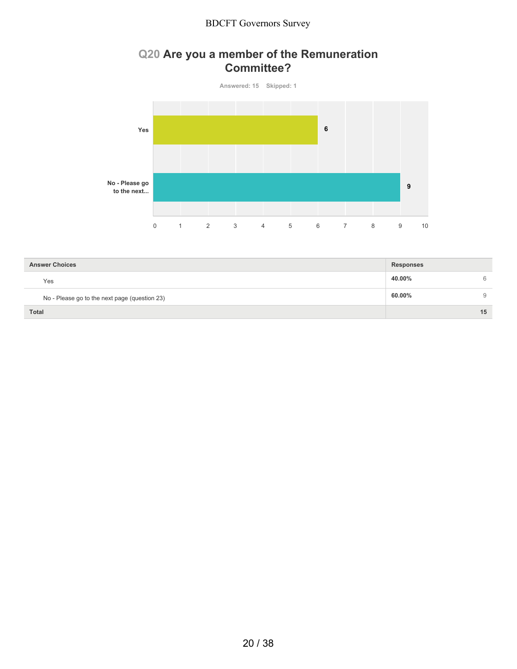## **Q20 Are you a member of the Remuneration Committee?**



| <b>Answer Choices</b>                         | <b>Responses</b> |    |
|-----------------------------------------------|------------------|----|
| Yes                                           | 40.00%           | 6  |
| No - Please go to the next page (question 23) | 60.00%           | 9  |
| <b>Total</b>                                  |                  | 15 |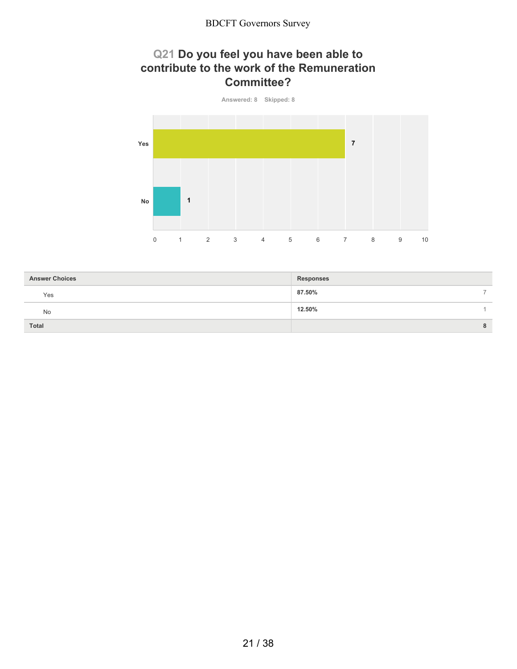### **Q21 Do you feel you have been able to contribute to the work of the Remuneration Committee?**



| <b>Answer Choices</b> | <b>Responses</b> |               |
|-----------------------|------------------|---------------|
| Yes                   | 87.50%           | $\rightarrow$ |
| No                    | 12.50%           |               |
| Total                 |                  | 8             |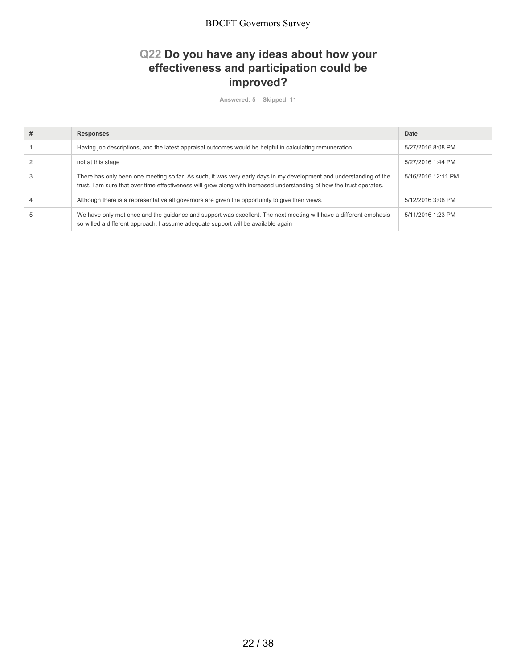## **Q22 Do you have any ideas about how your effectiveness and participation could be improved?**

**Answered: 5 Skipped: 11**

| <b>Responses</b>                                                                                                                                                                                                                            | Date               |
|---------------------------------------------------------------------------------------------------------------------------------------------------------------------------------------------------------------------------------------------|--------------------|
| Having job descriptions, and the latest appraisal outcomes would be helpful in calculating remuneration                                                                                                                                     | 5/27/2016 8:08 PM  |
| not at this stage                                                                                                                                                                                                                           | 5/27/2016 1:44 PM  |
| There has only been one meeting so far. As such, it was very early days in my development and understanding of the<br>trust. I am sure that over time effectiveness will grow along with increased understanding of how the trust operates. | 5/16/2016 12:11 PM |
| Although there is a representative all governors are given the opportunity to give their views.                                                                                                                                             | 5/12/2016 3:08 PM  |
| We have only met once and the quidance and support was excellent. The next meeting will have a different emphasis<br>so willed a different approach. I assume adequate support will be available again                                      | 5/11/2016 1:23 PM  |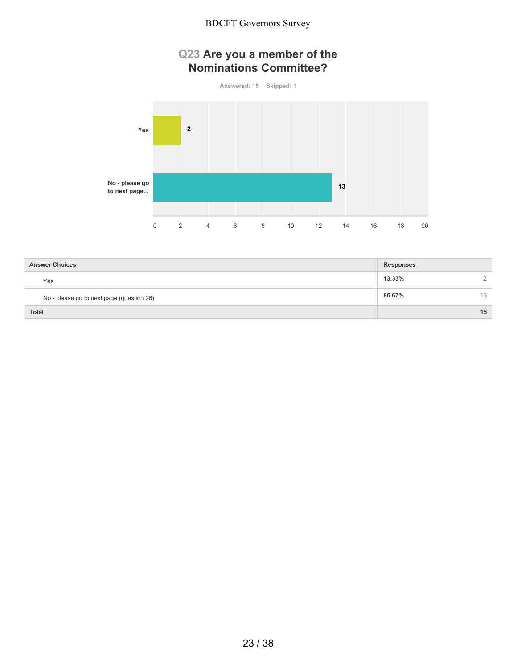## **Q23 Are you a member of the Nominations Committee?**



| <b>Answer Choices</b>                     | <b>Responses</b> |    |
|-------------------------------------------|------------------|----|
| Yes                                       | 13.33%           |    |
| No - please go to next page (question 26) | 86.67%           | 13 |
| <b>Total</b>                              |                  | 15 |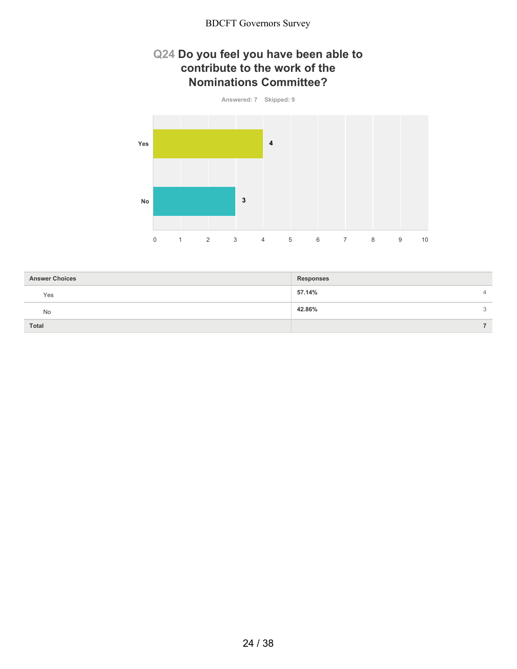### **Q24 Do you feel you have been able to contribute to the work of the Nominations Committee?**



| <b>Answer Choices</b> | <b>Responses</b>         |
|-----------------------|--------------------------|
| Yes                   | 57.14%<br>$\overline{4}$ |
| No                    | 42.86%<br>3              |
| <b>Total</b>          |                          |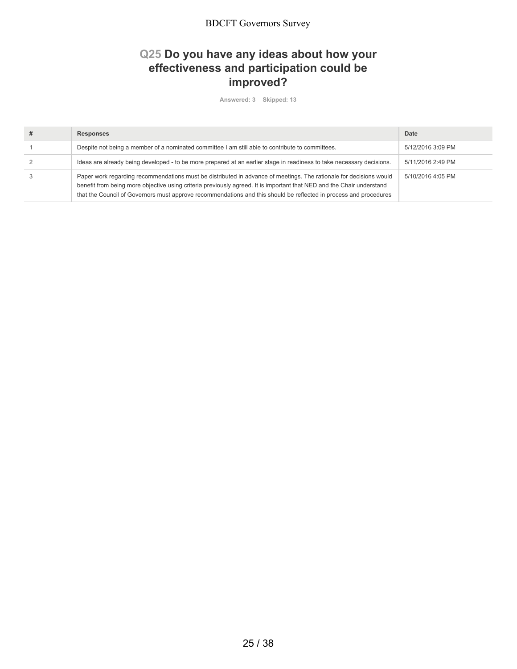## **Q25 Do you have any ideas about how your effectiveness and participation could be improved?**

**Answered: 3 Skipped: 13**

| <b>Responses</b>                                                                                                                                                                                                                                                                                                                                                 | Date              |
|------------------------------------------------------------------------------------------------------------------------------------------------------------------------------------------------------------------------------------------------------------------------------------------------------------------------------------------------------------------|-------------------|
| Despite not being a member of a nominated committee I am still able to contribute to committees.                                                                                                                                                                                                                                                                 | 5/12/2016 3:09 PM |
| Ideas are already being developed - to be more prepared at an earlier stage in readiness to take necessary decisions.                                                                                                                                                                                                                                            | 5/11/2016 2:49 PM |
| Paper work regarding recommendations must be distributed in advance of meetings. The rationale for decisions would<br>benefit from being more objective using criteria previously agreed. It is important that NED and the Chair understand<br>that the Council of Governors must approve recommendations and this should be reflected in process and procedures | 5/10/2016 4:05 PM |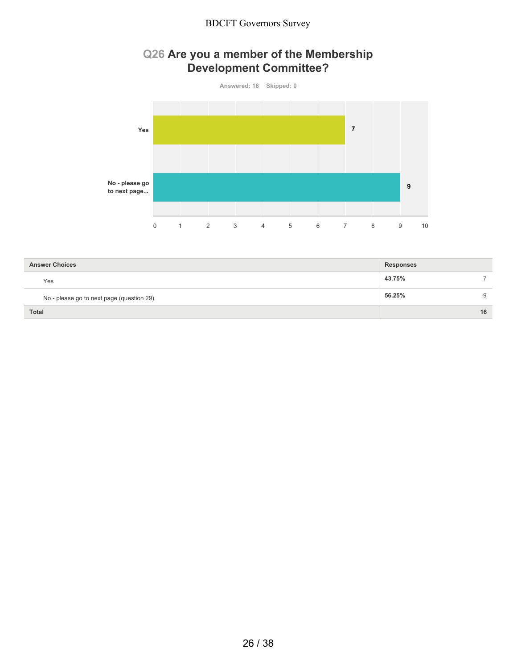## **Q26 Are you a member of the Membership Development Committee?**



| <b>Answer Choices</b>                     | <b>Responses</b> |    |
|-------------------------------------------|------------------|----|
| Yes                                       | 43.75%           |    |
| No - please go to next page (question 29) | 56.25%           | 9  |
| <b>Total</b>                              |                  | 16 |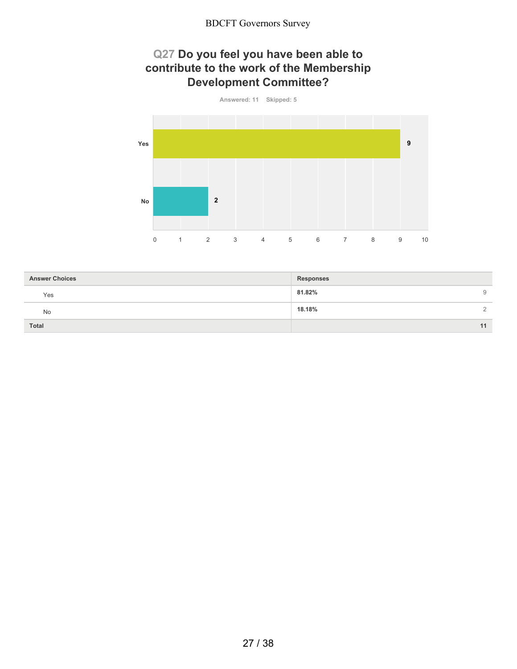## **Q27 Do you feel you have been able to contribute to the work of the Membership Development Committee?**



| <b>Answer Choices</b> | <b>Responses</b>         |
|-----------------------|--------------------------|
| Yes                   | 81.82%<br>9              |
| <b>No</b>             | 18.18%<br>$\overline{2}$ |
| Total                 | 11                       |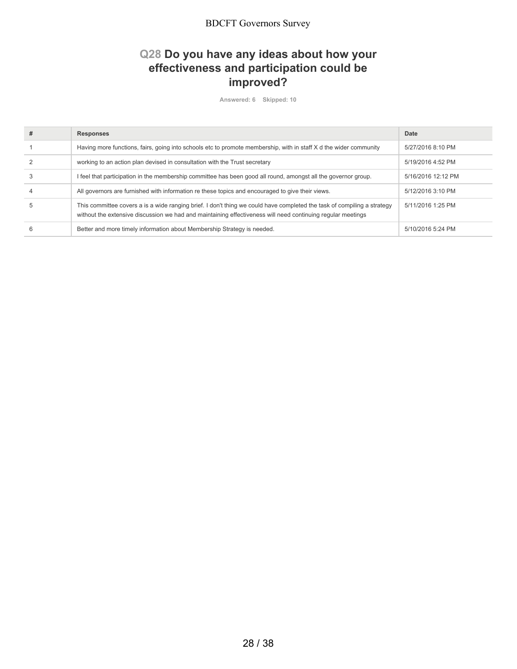## **Q28 Do you have any ideas about how your effectiveness and participation could be improved?**

**Answered: 6 Skipped: 10**

| # | <b>Responses</b>                                                                                                                                                                                                                       | Date               |
|---|----------------------------------------------------------------------------------------------------------------------------------------------------------------------------------------------------------------------------------------|--------------------|
|   | Having more functions, fairs, going into schools etc to promote membership, with in staff X d the wider community                                                                                                                      | 5/27/2016 8:10 PM  |
|   | working to an action plan devised in consultation with the Trust secretary                                                                                                                                                             | 5/19/2016 4:52 PM  |
|   | I feel that participation in the membership committee has been good all round, amongst all the governor group.                                                                                                                         | 5/16/2016 12:12 PM |
|   | All governors are furnished with information re these topics and encouraged to give their views.                                                                                                                                       | 5/12/2016 3:10 PM  |
| h | This committee covers a is a wide ranging brief. I don't thing we could have completed the task of compiling a strategy<br>without the extensive discussion we had and maintaining effectiveness will need continuing regular meetings | 5/11/2016 1:25 PM  |
| 6 | Better and more timely information about Membership Strategy is needed.                                                                                                                                                                | 5/10/2016 5:24 PM  |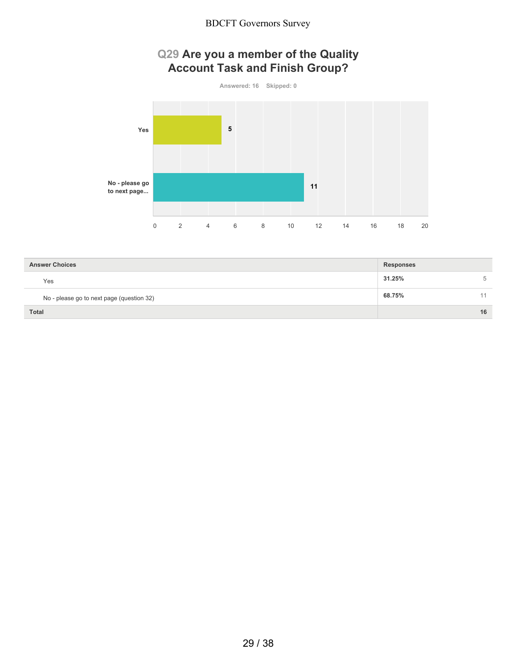## **Q29 Are you a member of the Quality Account Task and Finish Group?**



| <b>Answer Choices</b>                     | <b>Responses</b> |    |
|-------------------------------------------|------------------|----|
| Yes                                       | 31.25%           | 5  |
| No - please go to next page (question 32) | 68.75%           | 44 |
| <b>Total</b>                              |                  | 16 |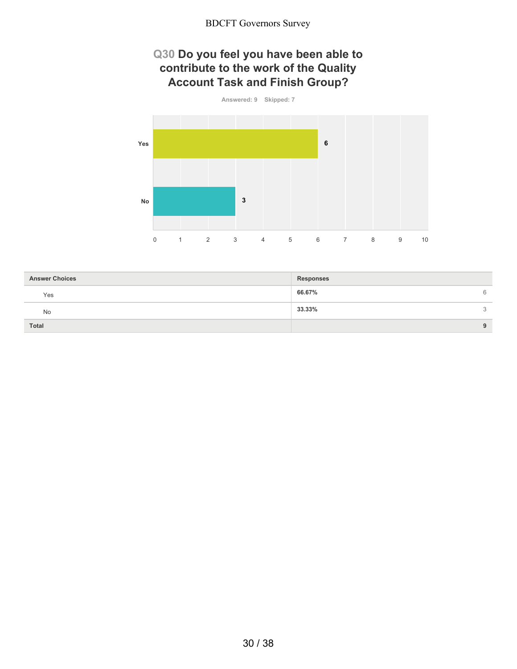## **Q30 Do you feel you have been able to contribute to the work of the Quality Account Task and Finish Group?**



| <b>Answer Choices</b> | <b>Responses</b> |   |
|-----------------------|------------------|---|
| Yes                   | 66.67%           | 6 |
| No                    | 33.33%           | 3 |
| <b>Total</b>          |                  | 9 |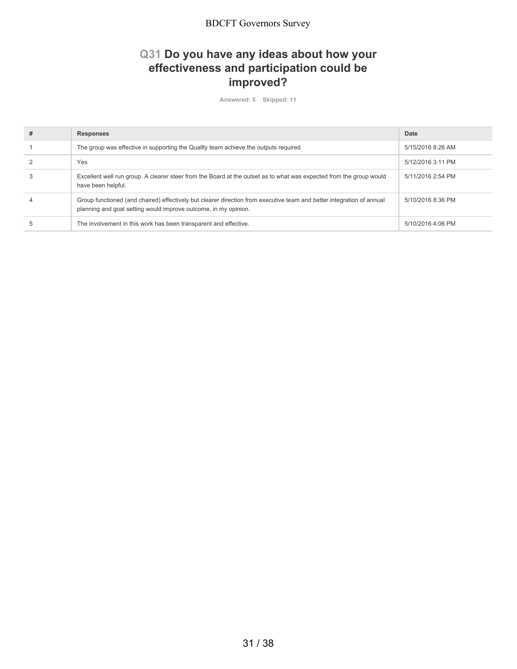## **Q31 Do you have any ideas about how your effectiveness and participation could be improved?**

**Answered: 5 Skipped: 11**

| # | <b>Responses</b>                                                                                                                                                                         | Date              |
|---|------------------------------------------------------------------------------------------------------------------------------------------------------------------------------------------|-------------------|
|   | The group was effective in supporting the Quality team achieve the outputs required                                                                                                      | 5/15/2016 8:26 AM |
|   | Yes                                                                                                                                                                                      | 5/12/2016 3:11 PM |
|   | Excellent well run group. A clearer steer from the Board at the outset as to what was expected from the group would<br>have been helpful.                                                | 5/11/2016 2:54 PM |
|   | Group functioned (and chaired) effectively but clearer direction from executive team and better integration of annual<br>planning and goal setting would improve outcome, in my opinion. | 5/10/2016 8:36 PM |
|   | The involvement in this work has been transparent and effective.                                                                                                                         | 5/10/2016 4:06 PM |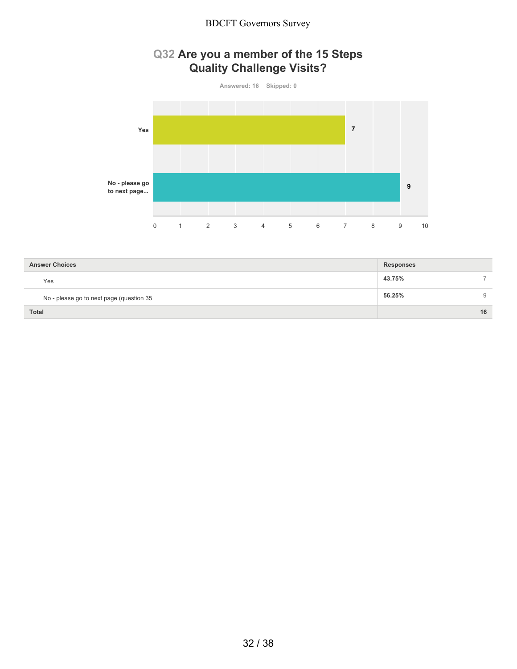## **Q32 Are you a member of the 15 Steps Quality Challenge Visits?**



| <b>Answer Choices</b>                    | <b>Responses</b> |    |
|------------------------------------------|------------------|----|
| Yes                                      | 43.75%           |    |
| No - please go to next page (question 35 | 56.25%           | 9  |
| <b>Total</b>                             |                  | 16 |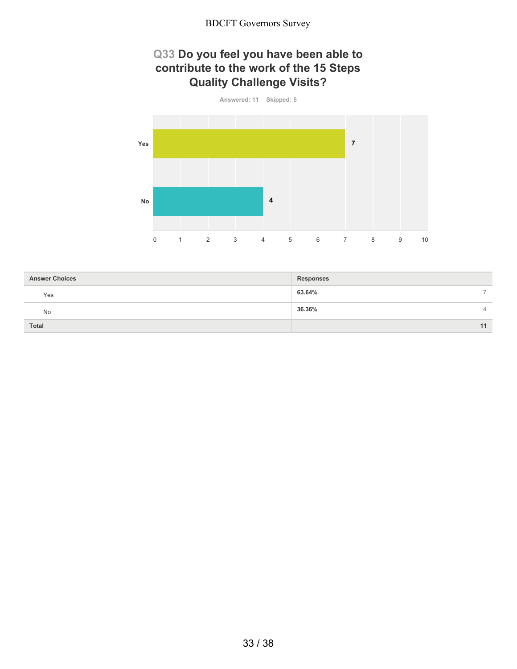### **Q33 Do you feel you have been able to contribute to the work of the 15 Steps Quality Challenge Visits?**



| <b>Answer Choices</b> | <b>Responses</b>         |
|-----------------------|--------------------------|
| Yes                   | 63.64%<br>-              |
| No                    | 36.36%<br>$\overline{4}$ |
| Total                 | 11                       |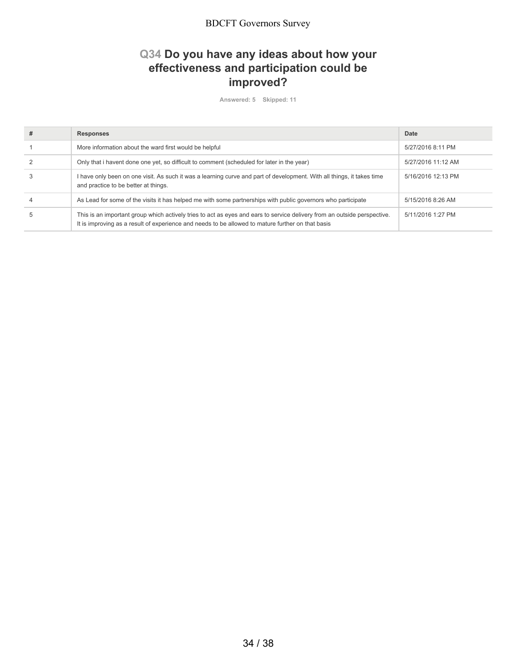## **Q34 Do you have any ideas about how your effectiveness and participation could be improved?**

**Answered: 5 Skipped: 11**

| <b>Responses</b>                                                                                                                                                                                                              | Date               |
|-------------------------------------------------------------------------------------------------------------------------------------------------------------------------------------------------------------------------------|--------------------|
| More information about the ward first would be helpful                                                                                                                                                                        | 5/27/2016 8:11 PM  |
| Only that i havent done one yet, so difficult to comment (scheduled for later in the year)                                                                                                                                    | 5/27/2016 11:12 AM |
| I have only been on one visit. As such it was a learning curve and part of development. With all things, it takes time<br>and practice to be better at things.                                                                | 5/16/2016 12:13 PM |
| As Lead for some of the visits it has helped me with some partnerships with public governors who participate                                                                                                                  | 5/15/2016 8:26 AM  |
| This is an important group which actively tries to act as eyes and ears to service delivery from an outside perspective.<br>It is improving as a result of experience and needs to be allowed to mature further on that basis | 5/11/2016 1:27 PM  |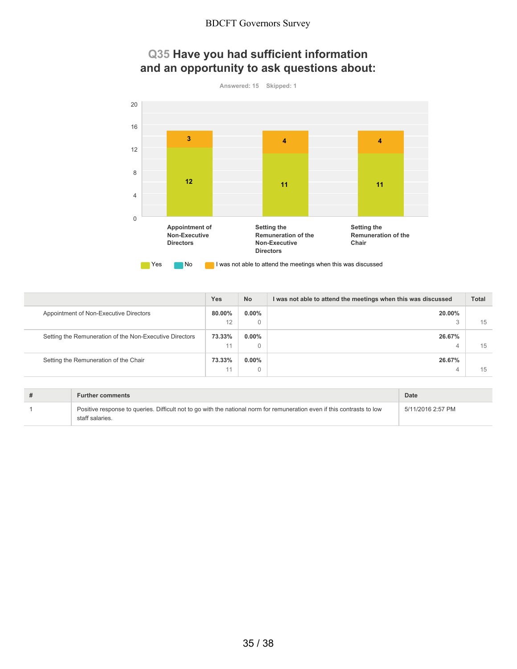### **Q35 Have you had sufficient information and an opportunity to ask questions about:**



|                                                         | <b>Yes</b> | <b>No</b> | I was not able to attend the meetings when this was discussed | <b>Total</b> |
|---------------------------------------------------------|------------|-----------|---------------------------------------------------------------|--------------|
| Appointment of Non-Executive Directors                  | 80.00%     | $0.00\%$  | 20.00%                                                        |              |
|                                                         | 12         | 0         | o                                                             | 15           |
| Setting the Remuneration of the Non-Executive Directors | 73.33%     | $0.00\%$  | 26.67%                                                        |              |
|                                                         | 11         | 0         | 4                                                             | 15           |
| Setting the Remuneration of the Chair                   | 73.33%     | $0.00\%$  | 26.67%                                                        |              |
|                                                         |            | 0         | ↵                                                             | 15           |

| <b>Further comments</b>                                                                                                                    | Date              |
|--------------------------------------------------------------------------------------------------------------------------------------------|-------------------|
| Positive response to queries. Difficult not to go with the national norm for remuneration even if this contrasts to low<br>staff salaries. | 5/11/2016 2:57 PM |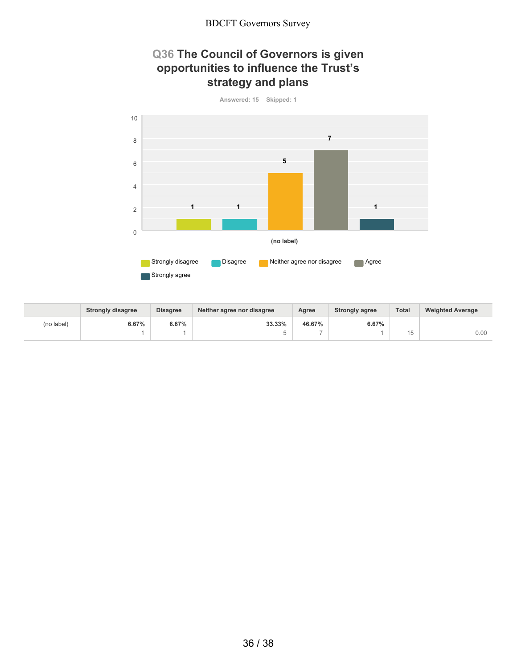## **Q36 The Council of Governors is given opportunities to influence the Trust's strategy and plans**



|            | <b>Strongly disagree</b> | <b>Disagree</b> | Neither agree nor disagree | Agree  | <b>Strongly agree</b> | Total | <b>Weighted Average</b> |
|------------|--------------------------|-----------------|----------------------------|--------|-----------------------|-------|-------------------------|
| (no label) | 6.67%                    | 6.67%           | 33.33%                     | 46.67% | 6.67%                 |       |                         |
|            |                          |                 |                            |        |                       |       | 0.00                    |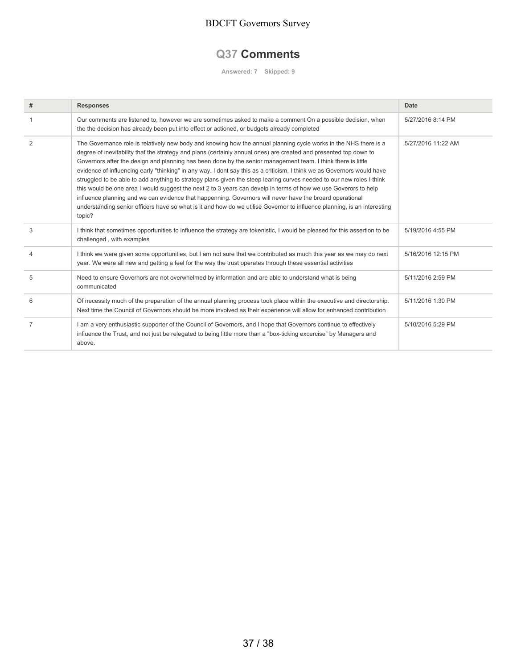### **Q37 Comments**

**Answered: 7 Skipped: 9**

| #              | <b>Responses</b>                                                                                                                                                                                                                                                                                                                                                                                                                                                                                                                                                                                                                                                                                                                                                                                                                                                                                                                                                               | Date               |
|----------------|--------------------------------------------------------------------------------------------------------------------------------------------------------------------------------------------------------------------------------------------------------------------------------------------------------------------------------------------------------------------------------------------------------------------------------------------------------------------------------------------------------------------------------------------------------------------------------------------------------------------------------------------------------------------------------------------------------------------------------------------------------------------------------------------------------------------------------------------------------------------------------------------------------------------------------------------------------------------------------|--------------------|
|                | Our comments are listened to, however we are sometimes asked to make a comment On a possible decision, when<br>the the decision has already been put into effect or actioned, or budgets already completed                                                                                                                                                                                                                                                                                                                                                                                                                                                                                                                                                                                                                                                                                                                                                                     | 5/27/2016 8:14 PM  |
| 2              | The Governance role is relatively new body and knowing how the annual planning cycle works in the NHS there is a<br>degree of inevitability that the strategy and plans (certainly annual ones) are created and presented top down to<br>Governors after the design and planning has been done by the senior management team. I think there is little<br>evidence of influencing early "thinking" in any way. I dont say this as a criticism, I think we as Governors would have<br>struggled to be able to add anything to strategy plans given the steep learing curves needed to our new roles I think<br>this would be one area I would suggest the next 2 to 3 years can develp in terms of how we use Goverors to help<br>influence planning and we can evidence that happenning. Governors will never have the broard operational<br>understanding senior officers have so what is it and how do we utilise Governor to influence planning, is an interesting<br>topic? | 5/27/2016 11:22 AM |
| 3              | I think that sometimes opportunities to influence the strategy are tokenistic. I would be pleased for this assertion to be<br>challenged, with examples                                                                                                                                                                                                                                                                                                                                                                                                                                                                                                                                                                                                                                                                                                                                                                                                                        | 5/19/2016 4:55 PM  |
| $\overline{4}$ | I think we were given some opportunities, but I am not sure that we contributed as much this year as we may do next<br>year. We were all new and getting a feel for the way the trust operates through these essential activities                                                                                                                                                                                                                                                                                                                                                                                                                                                                                                                                                                                                                                                                                                                                              | 5/16/2016 12:15 PM |
| 5              | Need to ensure Governors are not overwhelmed by information and are able to understand what is being<br>communicated                                                                                                                                                                                                                                                                                                                                                                                                                                                                                                                                                                                                                                                                                                                                                                                                                                                           | 5/11/2016 2:59 PM  |
| 6              | Of necessity much of the preparation of the annual planning process took place within the executive and directorship.<br>Next time the Council of Governors should be more involved as their experience will allow for enhanced contribution                                                                                                                                                                                                                                                                                                                                                                                                                                                                                                                                                                                                                                                                                                                                   | 5/11/2016 1:30 PM  |
| $\overline{7}$ | I am a very enthusiastic supporter of the Council of Governors, and I hope that Governors continue to effectively<br>influence the Trust, and not just be relegated to being little more than a "box-ticking excercise" by Managers and<br>above.                                                                                                                                                                                                                                                                                                                                                                                                                                                                                                                                                                                                                                                                                                                              | 5/10/2016 5:29 PM  |